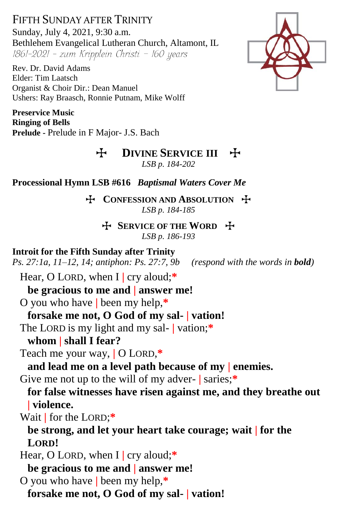FIFTH SUNDAY AFTER TRINITY Sunday, July 4, 2021, 9:30 a.m. Bethlehem Evangelical Lutheran Church, Altamont, IL 1861-2021 - zum Kripplein Christi - 160 years

Rev. Dr. David Adams Elder: Tim Laatsch Organist & Choir Dir.: Dean Manuel Ushers: Ray Braasch, Ronnie Putnam, Mike Wolff

**Preservice Music Ringing of Bells Prelude -** Prelude in F Major- J.S. Bach



**H** DIVINE SERVICE III +

*LSB p. 184-202*

**Processional Hymn LSB #616** *Baptismal Waters Cover Me*

T **CONFESSION AND ABSOLUTION** T *LSB p. 184-185*

**H** SERVICE OF THE WORD **H** *LSB p. 186-193*

**Introit for the Fifth Sunday after Trinity** *Ps. 27:1a, 11–12, 14; antiphon: Ps. 27:7, 9b (respond with the words in bold)*

Hear, O LORD, when I **|** cry aloud;**\***

**be gracious to me and | answer me!**

O you who have **|** been my help,**\***

**forsake me not, O God of my sal- | vation!**

The LORD is my light and my sal- **|** vation;**\***

**whom | shall I fear?**

Teach me your way, **|** O LORD,**\***

**and lead me on a level path because of my | enemies.**

Give me not up to the will of my adver- **|** saries;**\***

**for false witnesses have risen against me, and they breathe out | violence.**

Wait **|** for the LORD;**\***

**be strong, and let your heart take courage; wait | for the LORD!**

Hear, O LORD, when I **|** cry aloud;**\***

**be gracious to me and | answer me!**

O you who have **|** been my help,**\***

**forsake me not, O God of my sal- | vation!**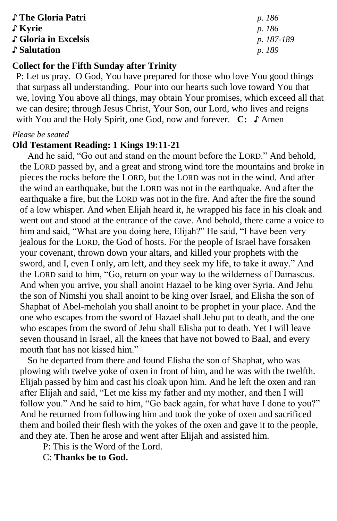♪ **The Gloria Patri** *p. 186* ♪ **Kyrie** *p. 186* ♪ **Gloria in Excelsis** *p. 187-189* ♪ **Salutation** *p. 189*

# **Collect for the Fifth Sunday after Trinity**

P: Let us pray. O God, You have prepared for those who love You good things that surpass all understanding. Pour into our hearts such love toward You that we, loving You above all things, may obtain Your promises, which exceed all that we can desire; through Jesus Christ, Your Son, our Lord, who lives and reigns with You and the Holy Spirit, one God, now and forever. **C:** ♪ Amen

#### *Please be seated*

#### **Old Testament Reading: 1 Kings 19:11-21**

And he said, "Go out and stand on the mount before the LORD." And behold, the LORD passed by, and a great and strong wind tore the mountains and broke in pieces the rocks before the LORD, but the LORD was not in the wind. And after the wind an earthquake, but the LORD was not in the earthquake. And after the earthquake a fire, but the LORD was not in the fire. And after the fire the sound of a low whisper. And when Elijah heard it, he wrapped his face in his cloak and went out and stood at the entrance of the cave. And behold, there came a voice to him and said, "What are you doing here, Elijah?" He said, "I have been very jealous for the LORD, the God of hosts. For the people of Israel have forsaken your covenant, thrown down your altars, and killed your prophets with the sword, and I, even I only, am left, and they seek my life, to take it away." And the LORD said to him, "Go, return on your way to the wilderness of Damascus. And when you arrive, you shall anoint Hazael to be king over Syria. And Jehu the son of Nimshi you shall anoint to be king over Israel, and Elisha the son of Shaphat of Abel-meholah you shall anoint to be prophet in your place. And the one who escapes from the sword of Hazael shall Jehu put to death, and the one who escapes from the sword of Jehu shall Elisha put to death. Yet I will leave seven thousand in Israel, all the knees that have not bowed to Baal, and every mouth that has not kissed him."

So he departed from there and found Elisha the son of Shaphat, who was plowing with twelve yoke of oxen in front of him, and he was with the twelfth. Elijah passed by him and cast his cloak upon him. And he left the oxen and ran after Elijah and said, "Let me kiss my father and my mother, and then I will follow you." And he said to him, "Go back again, for what have I done to you?" And he returned from following him and took the yoke of oxen and sacrificed them and boiled their flesh with the yokes of the oxen and gave it to the people, and they ate. Then he arose and went after Elijah and assisted him.

P: This is the Word of the Lord.

C: **Thanks be to God.**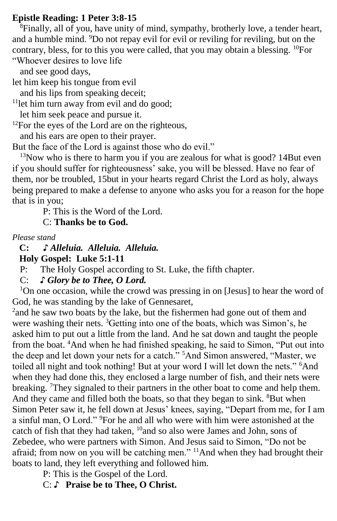### **Epistle Reading: 1 Peter 3:8-15**

 $\frac{8}{3}$ Finally, all of you, have unity of mind, sympathy, brotherly love, a tender heart, and a humble mind. <sup>9</sup>Do not repay evil for evil or reviling for reviling, but on the contrary, bless, for to this you were called, that you may obtain a blessing. <sup>10</sup>For "Whoever desires to love life

and see good days,

let him keep his tongue from evil

and his lips from speaking deceit;

 $11$ let him turn away from evil and do good;

let him seek peace and pursue it.

 $12$ For the eyes of the Lord are on the righteous,

and his ears are open to their prayer.

But the face of the Lord is against those who do evil."

<sup>13</sup>Now who is there to harm you if you are zealous for what is good? 14But even if you should suffer for righteousness' sake, you will be blessed. Have no fear of them, nor be troubled, 15but in your hearts regard Christ the Lord as holy, always being prepared to make a defense to anyone who asks you for a reason for the hope that is in you;

P: This is the Word of the Lord.

C: **Thanks be to God.**

*Please stand*

 **C: ♪** *Alleluia. Alleluia. Alleluia.*

 **Holy Gospel: Luke 5:1-11**

P: The Holy Gospel according to St. Luke, the fifth chapter.

C: *♪ Glory be to Thee, O Lord.*

<sup>1</sup>On one occasion, while the crowd was pressing in on [Jesus] to hear the word of God, he was standing by the lake of Gennesaret,

<sup>2</sup> and he saw two boats by the lake, but the fishermen had gone out of them and were washing their nets. <sup>3</sup>Getting into one of the boats, which was Simon's, he asked him to put out a little from the land. And he sat down and taught the people from the boat. <sup>4</sup>And when he had finished speaking, he said to Simon, "Put out into the deep and let down your nets for a catch." <sup>5</sup>And Simon answered, "Master, we toiled all night and took nothing! But at your word I will let down the nets." <sup>6</sup>And when they had done this, they enclosed a large number of fish, and their nets were breaking. <sup>7</sup>They signaled to their partners in the other boat to come and help them. And they came and filled both the boats, so that they began to sink. <sup>8</sup>But when Simon Peter saw it, he fell down at Jesus' knees, saying, "Depart from me, for I am a sinful man, O Lord." <sup>9</sup>For he and all who were with him were astonished at the catch of fish that they had taken, <sup>10</sup>and so also were James and John, sons of Zebedee, who were partners with Simon. And Jesus said to Simon, "Do not be afraid; from now on you will be catching men."  $11$ And when they had brought their boats to land, they left everything and followed him.

P: This is the Gospel of the Lord.

C: ♪ **Praise be to Thee, O Christ.**